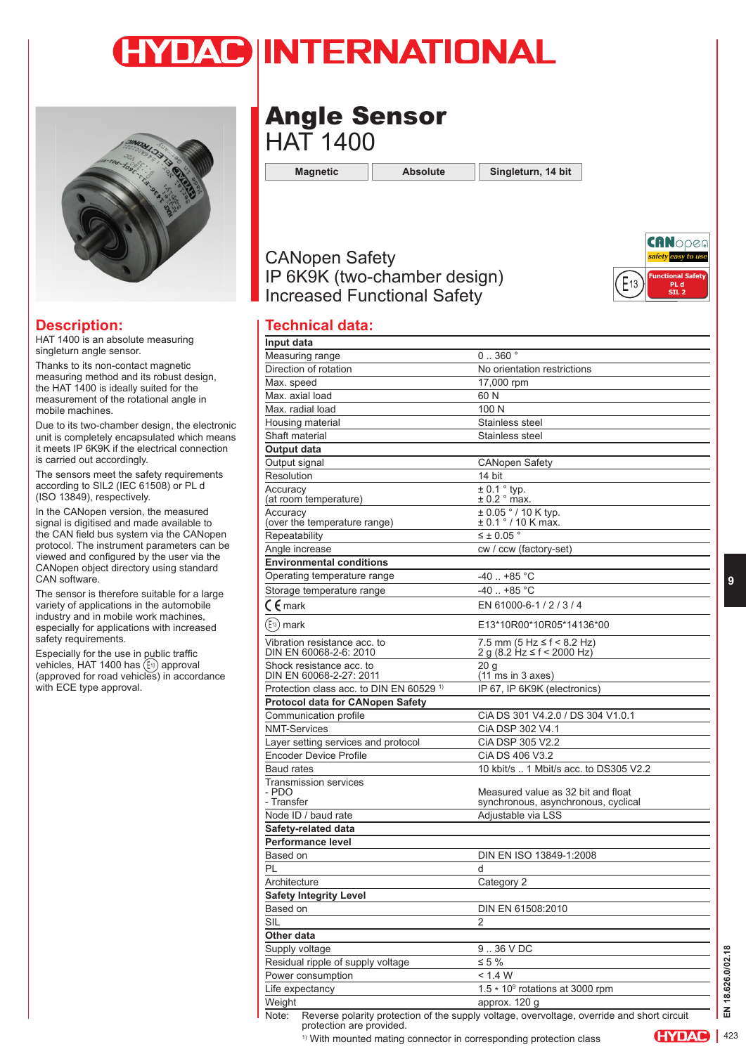# YDAC INTERNATIONAL



#### **Description:**

HAT 1400 is an absolute measuring singleturn angle sensor.

Thanks to its non-contact magnetic measuring method and its robust design, the HAT 1400 is ideally suited for the measurement of the rotational angle in mobile machines.

Due to its two-chamber design, the electronic unit is completely encapsulated which means it meets IP 6K9K if the electrical connection is carried out accordingly.

The sensors meet the safety requirements according to SIL2 (IEC 61508) or PL d (ISO 13849), respectively.

In the CANopen version, the measured signal is digitised and made available to the CAN field bus system via the CANopen protocol. The instrument parameters can be viewed and configured by the user via the CANopen object directory using standard CAN software.

The sensor is therefore suitable for a large variety of applications in the automobile industry and in mobile work machines, especially for applications with increased safety requirements.

Especially for the use in public traffic vehicles, HAT 1400 has (E<sup>13</sup>) approval (approved for road vehicles) in accordance with ECE type approval.

# Angle Sensor HAT 1400

**Magnetic Absolute Singleturn, 14 bit**

## CANopen Safety IP 6K9K (two-chamber design) Increased Functional Safety



### **Technical data:**

| 0.360°                                                                 |
|------------------------------------------------------------------------|
| No orientation restrictions                                            |
| 17,000 rpm                                                             |
| 60 N                                                                   |
| 100 N                                                                  |
| Stainless steel                                                        |
| Stainless steel                                                        |
|                                                                        |
| <b>CANopen Safety</b>                                                  |
| 14 bit                                                                 |
| $\pm$ 0.1 $\degree$ typ.<br>$± 0.2$ $^{\circ}$ max.                    |
| $± 0.05 ° / 10 K$ typ.<br>± 0.1 ° / 10 K max.                          |
| $\leq \pm 0.05$ °                                                      |
| cw / ccw (factory-set)                                                 |
|                                                                        |
| $-40$ $+85$ °C                                                         |
| $-40$ $+85$ °C                                                         |
| EN 61000-6-1 / 2 / 3 / 4                                               |
| E13*10R00*10R05*14136*00                                               |
| 7.5 mm $(5 Hz \le f < 8.2 Hz)$<br>2 g (8.2 Hz $\leq$ f $\leq$ 2000 Hz) |
| 20 <sub>g</sub><br>$(11 \text{ ms in } 3 \text{ axes})$                |
| IP 67, IP 6K9K (electronics)                                           |
|                                                                        |
| CIA DS 301 V4.2.0 / DS 304 V1.0.1                                      |
| CIA DSP 302 V4.1                                                       |
| CIA DSP 305 V2.2                                                       |
| CIA DS 406 V3.2                                                        |
| 10 kbit/s  1 Mbit/s acc. to DS305 V2.2                                 |
| Measured value as 32 bit and float                                     |
| synchronous, asynchronous, cyclical                                    |
| Adjustable via LSS                                                     |
|                                                                        |
|                                                                        |
| DIN EN ISO 13849-1:2008                                                |
| d                                                                      |
| Category 2                                                             |
|                                                                        |
| DIN EN 61508:2010                                                      |
| $\overline{2}$                                                         |
|                                                                        |
|                                                                        |
| 9.36 VDC                                                               |
| $\leq 5 \%$                                                            |
| < 1.4 W                                                                |
| 1.5 * 10 <sup>9</sup> rotations at 3000 rpm<br>approx. 120 q           |
|                                                                        |

<sup>1)</sup> With mounted mating connector in corresponding protection class